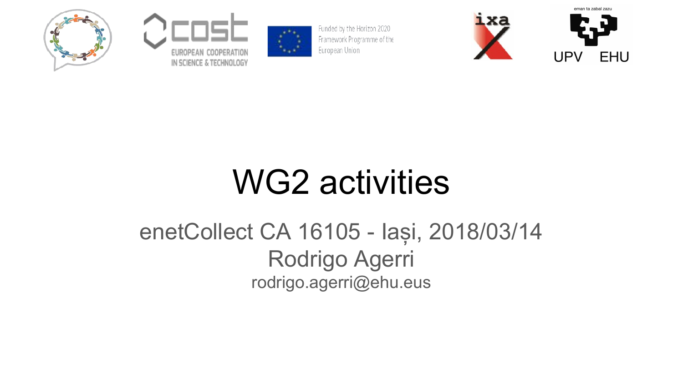





Funded by the Horizon 2020 Framework Programme of the European Union



# WG2 activities

#### enetCollect CA 16105 - Iași, 2018/03/14 Rodrigo Agerri rodrigo.agerri@ehu.eus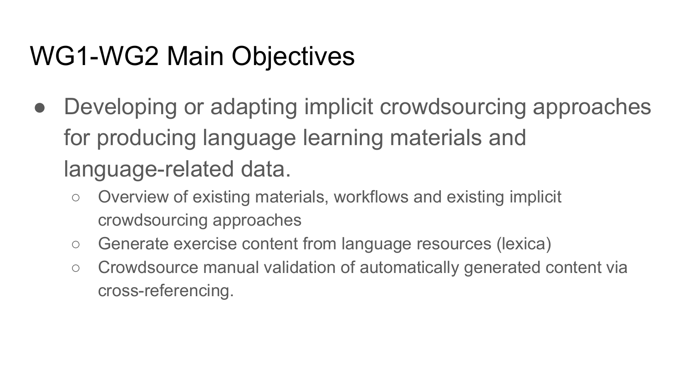# WG1-WG2 Main Objectives

- Developing or adapting implicit crowdsourcing approaches for producing language learning materials and language-related data.
	- Overview of existing materials, workflows and existing implicit crowdsourcing approaches
	- Generate exercise content from language resources (lexica)
	- Crowdsource manual validation of automatically generated content via cross-referencing.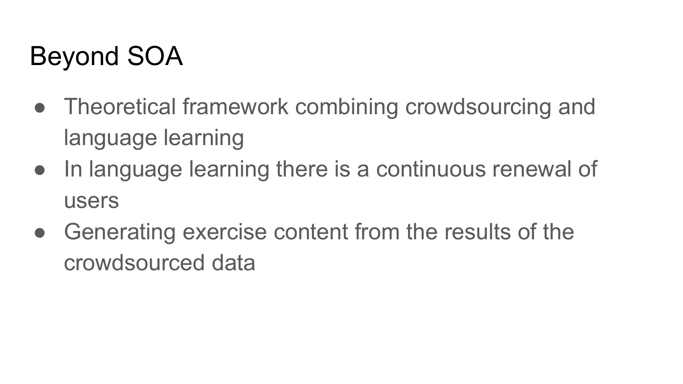# Beyond SOA

- Theoretical framework combining crowdsourcing and language learning
- In language learning there is a continuous renewal of users
- Generating exercise content from the results of the crowdsourced data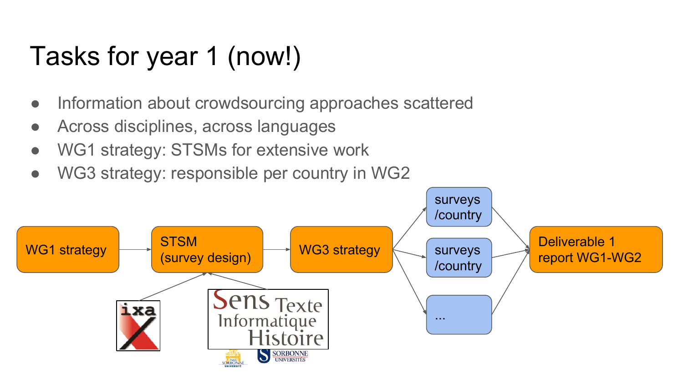# Tasks for year 1 (now!)

- Information about crowdsourcing approaches scattered
- Across disciplines, across languages
- WG1 strategy: STSMs for extensive work
- WG3 strategy: responsible per country in WG2

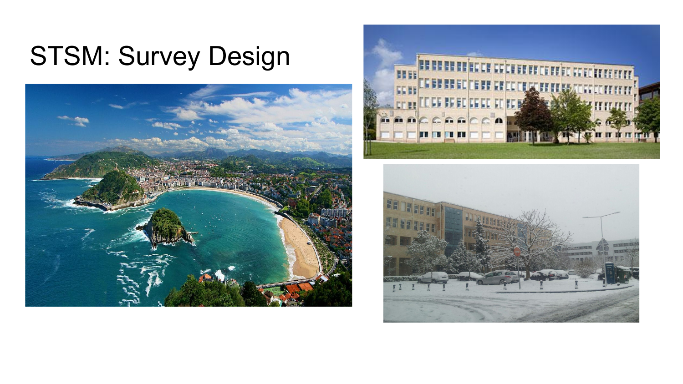# STSM: Survey Design





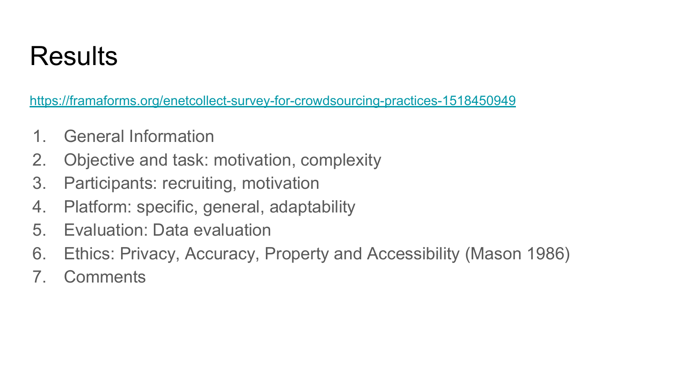### Results

<https://framaforms.org/enetcollect-survey-for-crowdsourcing-practices-1518450949>

- 1. General Information
- 2. Objective and task: motivation, complexity
- 3. Participants: recruiting, motivation
- 4. Platform: specific, general, adaptability
- 5. Evaluation: Data evaluation
- 6. Ethics: Privacy, Accuracy, Property and Accessibility (Mason 1986)
- 7. Comments